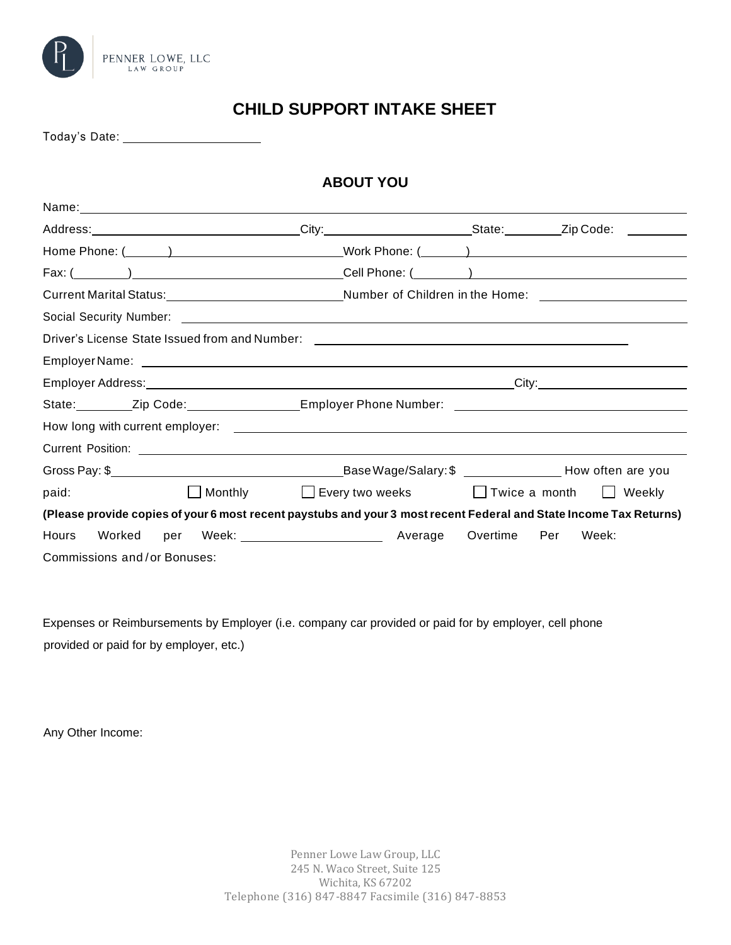

# **CHILD SUPPORT INTAKE SHEET**

Today's Date:

# **ABOUT YOU**

|                                                                                                                    |                                                | Address: _______________________________City: ___________________________State: __________Zip Code:                 |                    |  |  |
|--------------------------------------------------------------------------------------------------------------------|------------------------------------------------|---------------------------------------------------------------------------------------------------------------------|--------------------|--|--|
|                                                                                                                    |                                                |                                                                                                                     |                    |  |  |
|                                                                                                                    |                                                |                                                                                                                     |                    |  |  |
|                                                                                                                    |                                                |                                                                                                                     |                    |  |  |
|                                                                                                                    |                                                | Social Security Number: <u>Denomination of the second contract of the second contract of the second contract of</u> |                    |  |  |
|                                                                                                                    |                                                |                                                                                                                     |                    |  |  |
|                                                                                                                    |                                                |                                                                                                                     |                    |  |  |
|                                                                                                                    |                                                |                                                                                                                     |                    |  |  |
| State:__________Zip Code:_________________Employer Phone Number: ___________________________________               |                                                |                                                                                                                     |                    |  |  |
|                                                                                                                    |                                                |                                                                                                                     |                    |  |  |
|                                                                                                                    |                                                | Current Position: <u>Current School Current</u>                                                                     |                    |  |  |
|                                                                                                                    |                                                |                                                                                                                     |                    |  |  |
| paid:                                                                                                              |                                                | Monthly $\Box$ Every two weeks $\Box$ Twice a month $\Box$ Weekly                                                   |                    |  |  |
| (Please provide copies of your 6 most recent paystubs and your 3 most recent Federal and State Income Tax Returns) |                                                |                                                                                                                     |                    |  |  |
|                                                                                                                    | Hours Worked per Week: _______________________ | Average                                                                                                             | Overtime Per Week: |  |  |
| Commissions and/or Bonuses:                                                                                        |                                                |                                                                                                                     |                    |  |  |

Expenses or Reimbursements by Employer (i.e. company car provided or paid for by employer, cell phone provided or paid for by employer, etc.)

Any Other Income: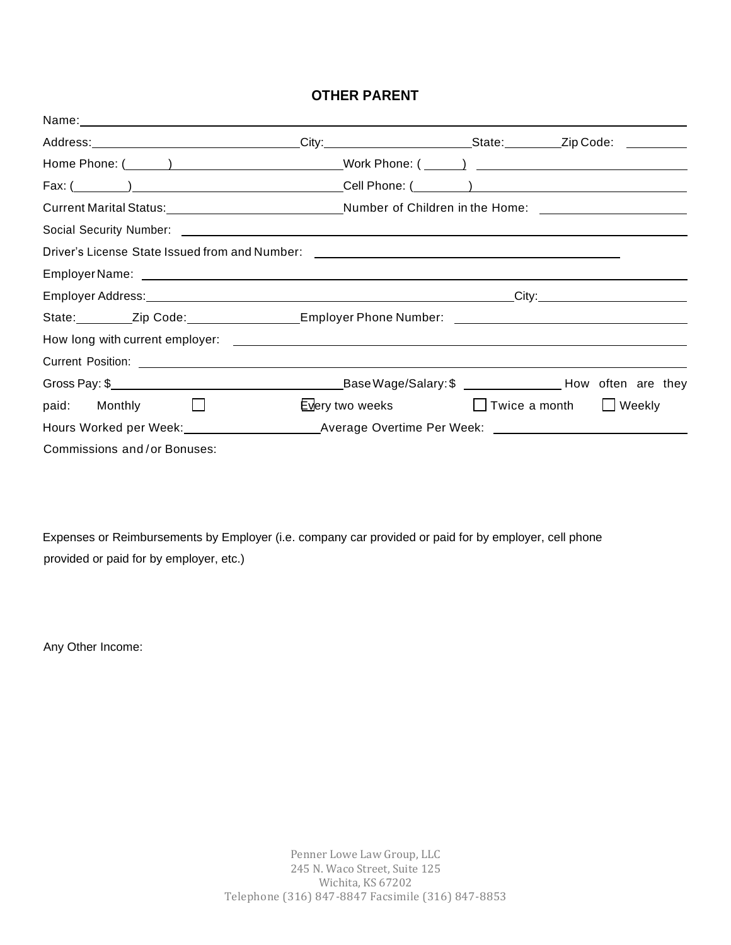### **OTHER PARENT**

| Current Marital Status:_________________________________Number of Children in the Home: _____________________                                                                                                                        |                                             |                                                                                                               |  |  |
|--------------------------------------------------------------------------------------------------------------------------------------------------------------------------------------------------------------------------------------|---------------------------------------------|---------------------------------------------------------------------------------------------------------------|--|--|
|                                                                                                                                                                                                                                      |                                             |                                                                                                               |  |  |
|                                                                                                                                                                                                                                      |                                             |                                                                                                               |  |  |
|                                                                                                                                                                                                                                      |                                             |                                                                                                               |  |  |
|                                                                                                                                                                                                                                      |                                             |                                                                                                               |  |  |
|                                                                                                                                                                                                                                      |                                             |                                                                                                               |  |  |
|                                                                                                                                                                                                                                      |                                             |                                                                                                               |  |  |
| Current Position: <u>contract and contract and contract and contract and contract and contract and contract and contract and contract and contract and contract and contract and contract and contract and contract and contract</u> |                                             |                                                                                                               |  |  |
|                                                                                                                                                                                                                                      |                                             |                                                                                                               |  |  |
| paid: Monthly                                                                                                                                                                                                                        | $\overline{\text{E}}$ a month $\Box$ Weekly |                                                                                                               |  |  |
|                                                                                                                                                                                                                                      |                                             | Hours Worked per Week:____________________________Average Overtime Per Week: ________________________________ |  |  |
| Commissions and/or Bonuses:                                                                                                                                                                                                          |                                             |                                                                                                               |  |  |

Expenses or Reimbursements by Employer (i.e. company car provided or paid for by employer, cell phone provided or paid for by employer, etc.)

Any Other Income: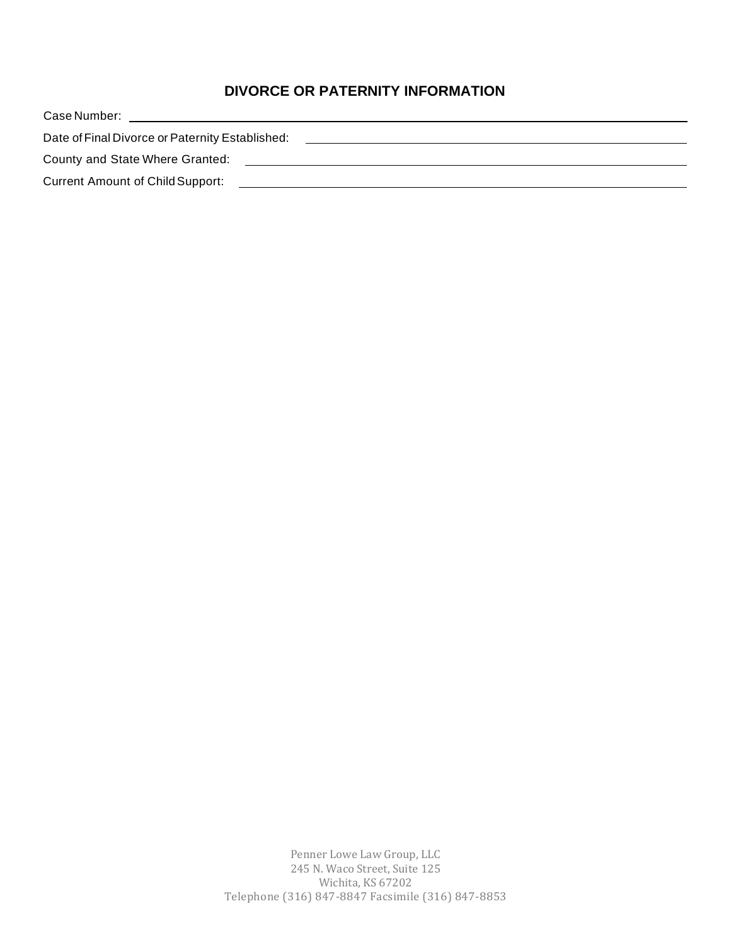# **DIVORCE OR PATERNITY INFORMATION**

| Case Number:                                    |
|-------------------------------------------------|
| Date of Final Divorce or Paternity Established: |
| County and State Where Granted:                 |
| <b>Current Amount of Child Support:</b>         |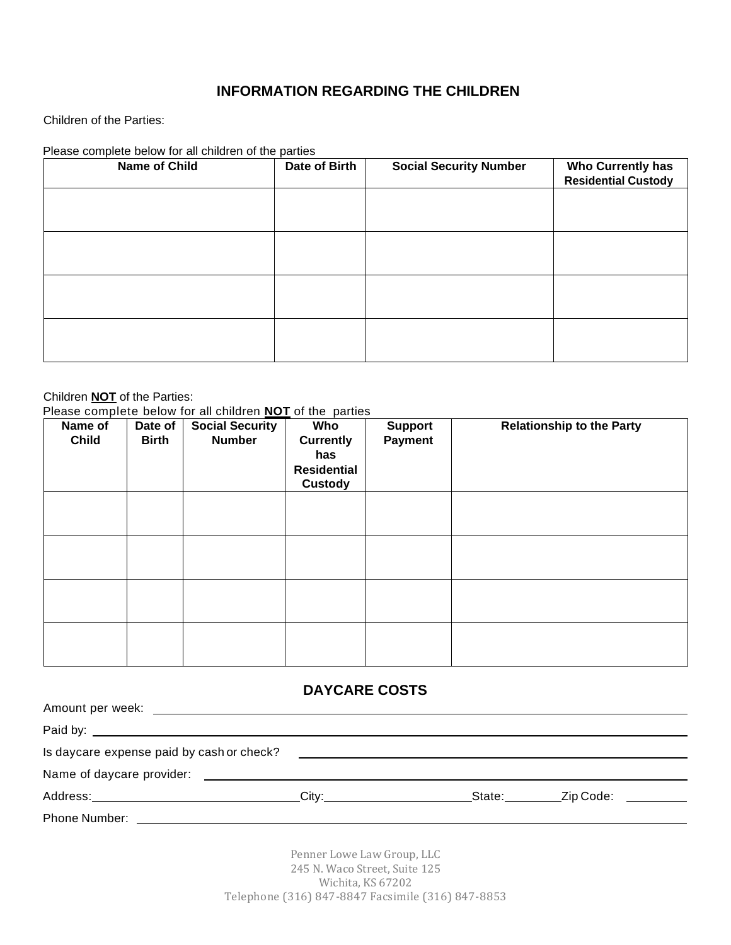### **INFORMATION REGARDING THE CHILDREN**

Children of the Parties:

Please complete below for all children of the parties

| Name of Child | Date of Birth | <b>Social Security Number</b> | Who Currently has<br><b>Residential Custody</b> |
|---------------|---------------|-------------------------------|-------------------------------------------------|
|               |               |                               |                                                 |
|               |               |                               |                                                 |
|               |               |                               |                                                 |
|               |               |                               |                                                 |

#### Children **NOT** of the Parties:

Please complete below for all children **NOT** of the parties

| Name of<br><b>Child</b> | Date of<br><b>Birth</b> | <b>Social Security</b><br><b>Number</b> | Who<br><b>Currently</b><br>has<br><b>Residential</b><br>Custody | <b>Support</b><br><b>Payment</b> | <b>Relationship to the Party</b> |
|-------------------------|-------------------------|-----------------------------------------|-----------------------------------------------------------------|----------------------------------|----------------------------------|
|                         |                         |                                         |                                                                 |                                  |                                  |
|                         |                         |                                         |                                                                 |                                  |                                  |
|                         |                         |                                         |                                                                 |                                  |                                  |
|                         |                         |                                         |                                                                 |                                  |                                  |

### **DAYCARE COSTS**

| Amount per week:                          | <u> 1989 - Johann John Stein, markin film ar yn y brenin y brenin y brenin y brenin y brenin y brenin y brenin y</u>                                                                                                           |        |                                                                                                                |  |
|-------------------------------------------|--------------------------------------------------------------------------------------------------------------------------------------------------------------------------------------------------------------------------------|--------|----------------------------------------------------------------------------------------------------------------|--|
|                                           |                                                                                                                                                                                                                                |        |                                                                                                                |  |
| Is daycare expense paid by cash or check? |                                                                                                                                                                                                                                |        |                                                                                                                |  |
|                                           |                                                                                                                                                                                                                                |        |                                                                                                                |  |
| Address:_______________________________   | City: the contract of the contract of the contract of the contract of the contract of the contract of the contract of the contract of the contract of the contract of the contract of the contract of the contract of the cont | State: | Zip Code: The Code State State State State State State State State State State State State State State State S |  |
| Phone Number: <u>___________________</u>  |                                                                                                                                                                                                                                |        |                                                                                                                |  |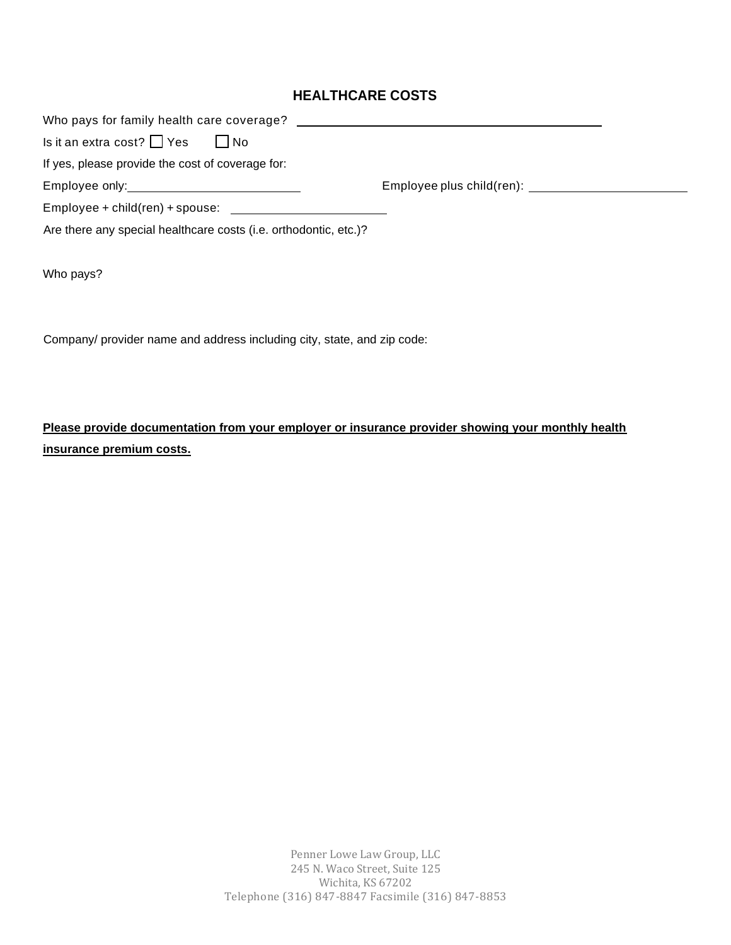#### **HEALTHCARE COSTS**

Who pays for family health care coverage?

Is it an extra cost?  $\Box$  Yes  $\Box$  No

If yes, please provide the cost of coverage for:

Employee only: Employee plus child(ren):

Employee + child(ren) + spouse: \_\_\_\_\_\_\_\_\_\_\_\_\_\_

Are there any special healthcare costs (i.e. orthodontic, etc.)?

Who pays?

Company/ provider name and address including city, state, and zip code:

# **Please provide documentation from your employer or insurance provider showing your monthly health insurance premium costs.**